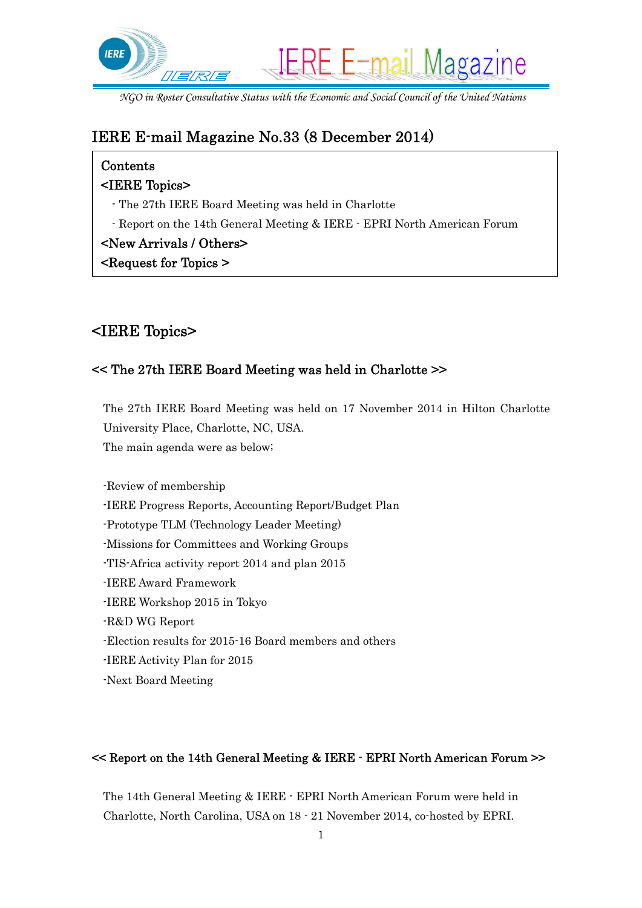

*NGO in Roster Consultative Status with the Economic and Social Council of the United Nations* 

# IERE E-mail Magazine No.33 (8 December 2014)

### Contents

#### <IERE Topics>

- The 27th IERE Board Meeting was held in Charlotte
- Report on the 14th General Meeting & IERE EPRI North American Forum

#### <New Arrivals / Others>

<Request for Topics >

# <IERE Topics>

### << The 27th IERE Board Meeting was held in Charlotte >>

The 27th IERE Board Meeting was held on 17 November 2014 in Hilton Charlotte University Place, Charlotte, NC, USA. The main agenda were as below;

-Review of membership -IERE Progress Reports, Accounting Report/Budget Plan -Prototype TLM (Technology Leader Meeting) -Missions for Committees and Working Groups -TIS-Africa activity report 2014 and plan 2015 -IERE Award Framework -IERE Workshop 2015 in Tokyo -R&D WG Report -Election results for 2015-16 Board members and others -IERE Activity Plan for 2015 -Next Board Meeting

#### << Report on the 14th General Meeting & IERE - EPRI North American Forum >>

The 14th General Meeting & IERE - EPRI North American Forum were held in Charlotte, North Carolina, USA on 18 - 21 November 2014, co-hosted by EPRI.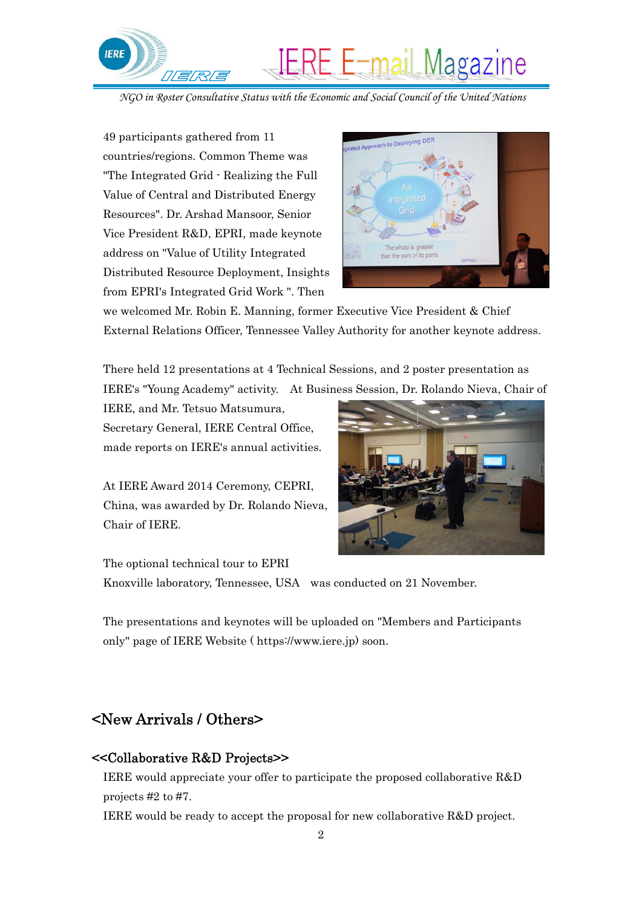

*NGO in Roster Consultative Status with the Economic and Social Council of the United Nations* 

49 participants gathered from 11 countries/regions. Common Theme was "The Integrated Grid - Realizing the Full Value of Central and Distributed Energy Resources". Dr. Arshad Mansoor, Senior Vice President R&D, EPRI, made keynote address on "Value of Utility Integrated Distributed Resource Deployment, Insights from EPRI's Integrated Grid Work ". Then



we welcomed Mr. Robin E. Manning, former Executive Vice President & Chief External Relations Officer, Tennessee Valley Authority for another keynote address.

There held 12 presentations at 4 Technical Sessions, and 2 poster presentation as IERE's "Young Academy" activity. At Business Session, Dr. Rolando Nieva, Chair of

IERE, and Mr. Tetsuo Matsumura, Secretary General, IERE Central Office, made reports on IERE's annual activities.

At IERE Award 2014 Ceremony, CEPRI, China, was awarded by Dr. Rolando Nieva, Chair of IERE.



The optional technical tour to EPRI Knoxville laboratory, Tennessee, USA was conducted on 21 November.

The presentations and keynotes will be uploaded on "Members and Participants only" page of IERE Website ( https://www.iere.jp) soon.

### <New Arrivals / Others>

#### <<Collaborative R&D Projects>>

IERE would appreciate your offer to participate the proposed collaborative R&D projects #2 to #7.

IERE would be ready to accept the proposal for new collaborative R&D project.